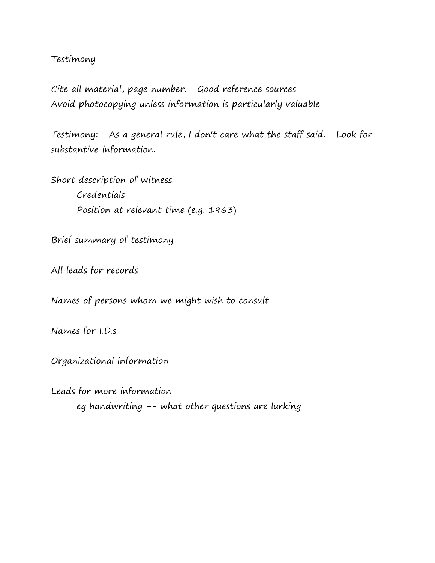### Testimony

Cite all material, page number. Good reference sources Avoid photocopying unless information is particularly valuable

Testimony: As a general rule, I don't care what the staff said. Look for substantive information.

Short description of witness. Credentials Position at relevant time (e.g. 1963)

Brief summary of testimony

All leads for records

Names of persons whom we might wish to consult

Names for I.D.s

Organizational information

Leads for more information eg handwriting -- what other questions are lurking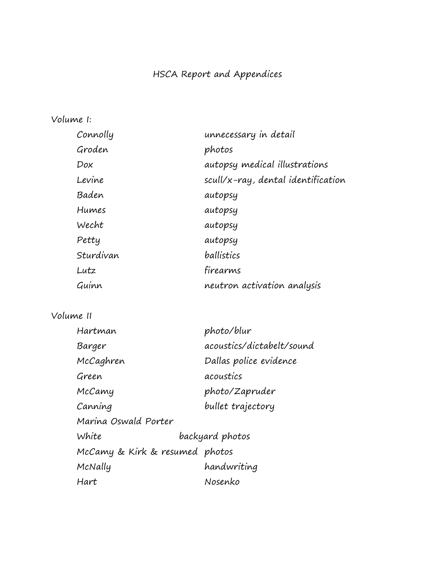# HSCA Report and Appendices

# Volume I:

| Connolly  | unnecessary in detail              |
|-----------|------------------------------------|
| Groden    | photos                             |
| Dox       | autopsy medical illustrations      |
| Levine    | scull/x-ray, dental identification |
| Baden     | autopsy                            |
| Humes     | autopsy                            |
| Wecht     | autopsy                            |
| Petty     | autopsy                            |
| Sturdivan | ballistics                         |
| Lutz      | firearms                           |
| Guinn     | neutron activation analysis        |

# Volume II

| Hartman                        | photo/blur                |
|--------------------------------|---------------------------|
| Barger                         | acoustics/dictabelt/sound |
| McCaghren                      | Dallas police evidence    |
| Green                          | acoustics                 |
| McCamy                         | photo/Zapruder            |
| Canning                        | bullet trajectory         |
| Marina Oswald Porter           |                           |
| White                          | backyard photos           |
| McCamy & Kirk & resumed photos |                           |
| McNally                        | handwriting               |
| Hart                           | Nosenko                   |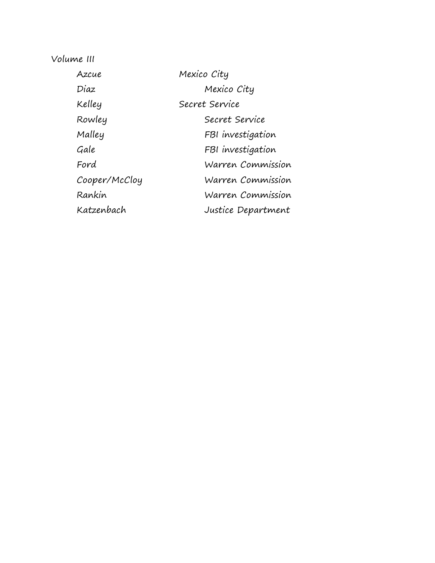Volume III

| Azcue         | Mexico City        |
|---------------|--------------------|
| Diaz          | Mexico City        |
| Kelley        | Secret Service     |
| Rowley        | Secret Service     |
| Malley        | FBI investigation  |
| Gale          | FBI investigation  |
| Ford          | Warren Commission  |
| Cooper/McCloy | Warren Commission  |
| Rankin        | Warren Commission  |
| Katzenbach    | Justice Department |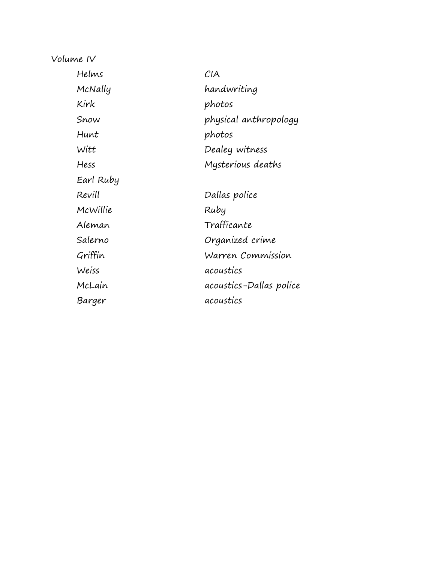Volume IV

| Helms     | CIA                     |
|-----------|-------------------------|
| McNally   | handwriting             |
| Kirk      | photos                  |
| Snow      | physical anthropology   |
| Hunt      | photos                  |
| Witt      | Dealey witness          |
| Hess      | Mysterious deaths       |
| Earl Ruby |                         |
| Revill    | Dallas police           |
| McWillie  | Ruby                    |
| Aleman    | Trafficante             |
| Salerno   | Organized crime         |
| Griffin   | Warren Commission       |
| Weiss     | acoustics               |
| McLain    | acoustics-Dallas police |
| Barger    | acoustics               |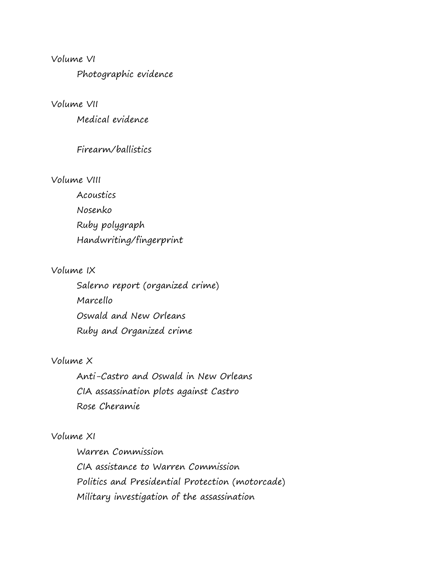#### Volume VI

Photographic evidence

Volume VII

Medical evidence

#### Firearm/ballistics

#### Volume VIII

Acoustics Nosenko Ruby polygraph Handwriting/fingerprint

### Volume IX

Salerno report (organized crime) Marcello Oswald and New Orleans Ruby and Organized crime

## Volume X

Anti-Castro and Oswald in New Orleans CIA assassination plots against Castro Rose Cheramie

#### Volume XI

Warren Commission CIA assistance to Warren Commission Politics and Presidential Protection (motorcade) Military investigation of the assassination